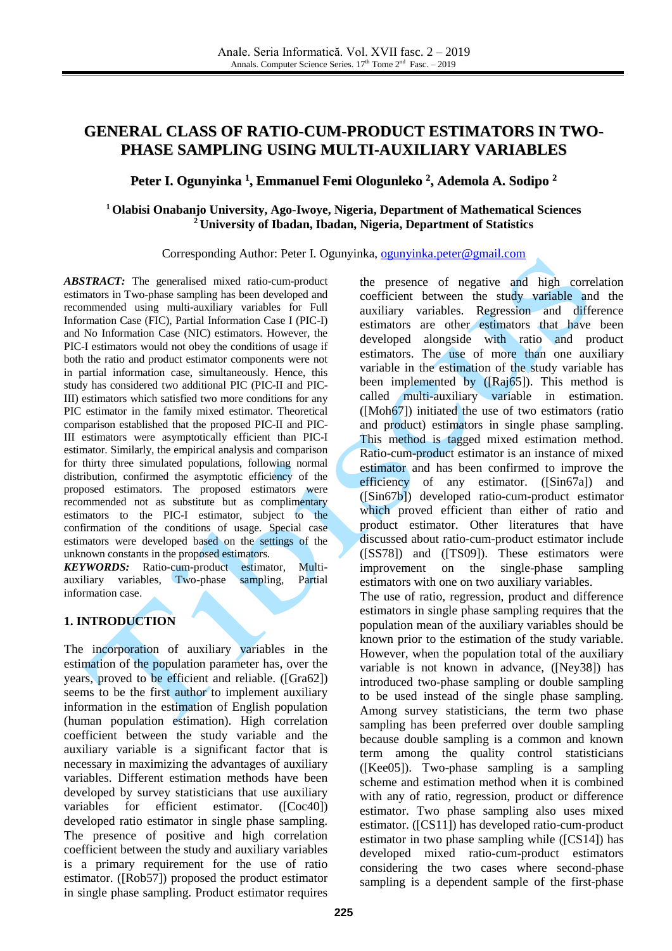# **GENERAL CLASS OF RATIO-CUM-PRODUCT ESTIMATORS IN TWO-PHASE SAMPLING USING MULTI-AUXILIARY VARIABLES**

# **Peter I. Ogunyinka 1 , Emmanuel Femi Ologunleko 2 , Ademola A. Sodipo 2**

### **<sup>1</sup> Olabisi Onabanjo University, Ago-Iwoye, Nigeria, Department of Mathematical Sciences <sup>2</sup> University of Ibadan, Ibadan, Nigeria, Department of Statistics**

#### Corresponding Author: Peter I. Ogunyinka, [ogunyinka.peter@gmail.com](mailto:ogunyinka.peter@gmail.com)

*ABSTRACT:* The generalised mixed ratio-cum-product estimators in Two-phase sampling has been developed and recommended using multi-auxiliary variables for Full Information Case (FIC), Partial Information Case I (PIC-I) and No Information Case (NIC) estimators. However, the PIC-I estimators would not obey the conditions of usage if both the ratio and product estimator components were not in partial information case, simultaneously. Hence, this study has considered two additional PIC (PIC-II and PIC-III) estimators which satisfied two more conditions for any PIC estimator in the family mixed estimator. Theoretical comparison established that the proposed PIC-II and PIC-III estimators were asymptotically efficient than PIC-I estimator. Similarly, the empirical analysis and comparison for thirty three simulated populations, following normal distribution, confirmed the asymptotic efficiency of the proposed estimators. The proposed estimators were recommended not as substitute but as complimentary estimators to the PIC-I estimator, subject to the confirmation of the conditions of usage. Special case estimators were developed based on the settings of the unknown constants in the proposed estimators.

*KEYWORDS:* Ratio-cum-product estimator, Multiauxiliary variables, Two-phase sampling, Partial information case.

### **1. INTRODUCTION**

The incorporation of auxiliary variables in the estimation of the population parameter has, over the years, proved to be efficient and reliable. ([Gra62]) seems to be the first author to implement auxiliary information in the estimation of English population (human population estimation). High correlation coefficient between the study variable and the auxiliary variable is a significant factor that is necessary in maximizing the advantages of auxiliary variables. Different estimation methods have been developed by survey statisticians that use auxiliary variables for efficient estimator. ([Coc40]) developed ratio estimator in single phase sampling. The presence of positive and high correlation coefficient between the study and auxiliary variables is a primary requirement for the use of ratio estimator. ([Rob57]) proposed the product estimator in single phase sampling. Product estimator requires

the presence of negative and high correlation coefficient between the study variable and the auxiliary variables. Regression and difference estimators are other estimators that have been developed alongside with ratio and product estimators. The use of more than one auxiliary variable in the estimation of the study variable has been implemented by ([Raj65]). This method is called multi-auxiliary variable in estimation. ([Moh67]) initiated the use of two estimators (ratio and product) estimators in single phase sampling. This method is tagged mixed estimation method. Ratio-cum-product estimator is an instance of mixed estimator and has been confirmed to improve the efficiency of any estimator. ([Sin67a]) and ([Sin67b]) developed ratio-cum-product estimator which proved efficient than either of ratio and product estimator. Other literatures that have discussed about ratio-cum-product estimator include ([SS78]) and ([TS09]). These estimators were improvement on the single-phase sampling estimators with one on two auxiliary variables. The use of ratio, regression, product and difference estimators in single phase sampling requires that the population mean of the auxiliary variables should be known prior to the estimation of the study variable. However, when the population total of the auxiliary variable is not known in advance, ([Ney38]) has introduced two-phase sampling or double sampling to be used instead of the single phase sampling. Among survey statisticians, the term two phase sampling has been preferred over double sampling because double sampling is a common and known term among the quality control statisticians ([Kee05]). Two-phase sampling is a sampling scheme and estimation method when it is combined with any of ratio, regression, product or difference estimator. Two phase sampling also uses mixed estimator. ([CS11]) has developed ratio-cum-product estimator in two phase sampling while ([CS14]) has developed mixed ratio-cum-product estimators considering the two cases where second-phase sampling is a dependent sample of the first-phase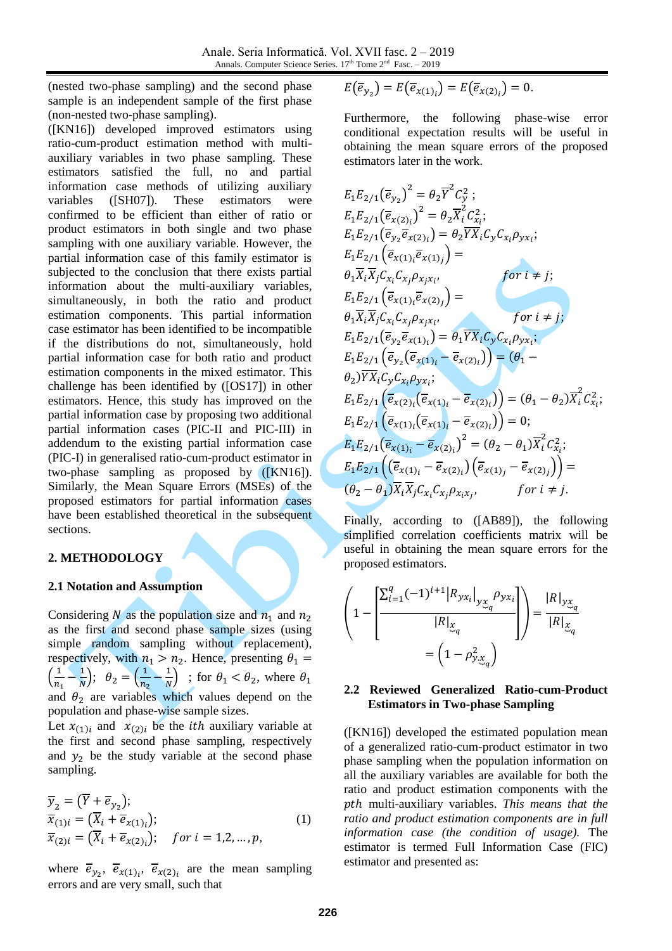Anale. Seria Informatică. Vol. XVII fasc. 2 – 2019 Annals. Computer Science Series. 17<sup>th</sup> Tome 2<sup>nd</sup> Fasc. - 2019

(nested two-phase sampling) and the second phase sample is an independent sample of the first phase (non-nested two-phase sampling).

([KN16]) developed improved estimators using ratio-cum-product estimation method with multiauxiliary variables in two phase sampling. These estimators satisfied the full, no and partial information case methods of utilizing auxiliary variables ([SH07]). These estimators were confirmed to be efficient than either of ratio or product estimators in both single and two phase sampling with one auxiliary variable. However, the partial information case of this family estimator is subjected to the conclusion that there exists partial information about the multi-auxiliary variables, simultaneously, in both the ratio and product estimation components. This partial information case estimator has been identified to be incompatible if the distributions do not, simultaneously, hold partial information case for both ratio and product estimation components in the mixed estimator. This challenge has been identified by ([OS17]) in other estimators. Hence, this study has improved on the partial information case by proposing two additional partial information cases (PIC-II and PIC-III) in addendum to the existing partial information case (PIC-I) in generalised ratio-cum-product estimator in two-phase sampling as proposed by ([KN16]). Similarly, the Mean Square Errors (MSEs) of the proposed estimators for partial information cases have been established theoretical in the subsequent sections.

#### **2. METHODOLOGY**

#### **2.1 Notation and Assumption**

Considering N as the population size and  $n_1$  and  $n_2$ as the first and second phase sample sizes (using simple random sampling without replacement), respectively, with  $n_1 > n_2$ . Hence, presenting  $\theta_1 =$  $\left(\frac{1}{n}\right)$  $\frac{1}{n_1} - \frac{1}{N}$  $\left(\frac{1}{N}\right); \theta_2 = \left(\frac{1}{n_2}\right)$  $\frac{1}{n_2} - \frac{1}{N}$  $\frac{1}{N}$ ) ; for  $\theta_1 < \theta_2$ , where  $\theta_1$ and  $\theta_2$  are variables which values depend on the population and phase-wise sample sizes.

Let  $x_{(1)i}$  and  $x_{(2)i}$  be the *ith* auxiliary variable at the first and second phase sampling, respectively and  $y_2$  be the study variable at the second phase sampling.

$$
\overline{y}_2 = (\overline{Y} + \overline{e}_{y_2});
$$
\n
$$
\overline{x}_{(1)i} = (\overline{X}_i + \overline{e}_{x(1)i});
$$
\n
$$
\overline{x}_{(2)i} = (\overline{X}_i + \overline{e}_{x(2)i}); \quad \text{for } i = 1, 2, ..., p,
$$
\n(1)

where  $\overline{e}_{y_2}$ ,  $\overline{e}_{x(1)_i}$ ,  $\overline{e}_{x(2)_i}$  are the mean sampling errors and are very small, such that

$$
E(\overline{e}_{y_2})=E(\overline{e}_{x(1)_i})=E(\overline{e}_{x(2)_i})=0.
$$

Furthermore, the following phase-wise error conditional expectation results will be useful in obtaining the mean square errors of the proposed estimators later in the work.

$$
E_{1}E_{2/1}(\overline{e}_{y_{2}})^{2} = \theta_{2}\overline{Y}^{2}C_{y}^{2};
$$
\n
$$
E_{1}E_{2/1}(\overline{e}_{x(2)_{i}})^{2} = \theta_{2}\overline{X}_{i}^{2}C_{x_{i}}^{2};
$$
\n
$$
E_{1}E_{2/1}(\overline{e}_{y_{2}}\overline{e}_{x(2)_{i}}) = \theta_{2}\overline{Y}X_{i}C_{y}C_{x_{i}}\rho_{yx_{i}};
$$
\n
$$
E_{1}E_{2/1}(\overline{e}_{x(1)_{i}}\overline{e}_{x(1)_{j}}) =
$$
\n
$$
\theta_{1}\overline{X}_{i}\overline{X}_{j}C_{x_{i}}(x_{x_{j}}\rho_{x_{j}x_{i}})
$$
\n
$$
for i \neq j;
$$
\n
$$
E_{1}E_{2/1}(\overline{e}_{x(1)_{i}}\overline{e}_{x(2)_{j}}) =
$$
\n
$$
\theta_{1}\overline{X}_{i}\overline{X}_{j}C_{x_{i}}(x_{x_{j}}\rho_{x_{j}x_{i}}, for i \neq j;
$$
\n
$$
E_{1}E_{2/1}(\overline{e}_{y_{2}}\overline{e}_{x(1)_{i}}) = \theta_{1}\overline{Y}X_{i}C_{y}C_{x_{i}}\rho_{yx_{i}};
$$
\n
$$
E_{1}E_{2/1}(\overline{e}_{y_{2}}(\overline{e}_{x(1)_{i}} - \overline{e}_{x(2)_{i}})) = (\theta_{1} - \theta_{2})\overline{X}_{i}^{2}C_{x_{i}}^{2};
$$
\n
$$
E_{1}E_{2/1}(\overline{e}_{x(2)_{i}}(\overline{e}_{x(1)_{i}} - \overline{e}_{x(2)_{i}})) = 0;
$$
\n
$$
E_{1}E_{2/1}(\overline{e}_{x(1)_{i}}(\overline{e}_{x(1)_{i}} - \overline{e}_{x(2)_{i}})) = 0;
$$
\n
$$
E_{1}E_{2/1}(\overline{e}_{x(1)_{i}} - \overline{e}_{x(2)_{i}})^{2} = (\theta_{2} - \theta
$$

Finally, according to ([AB89]), the following simplified correlation coefficients matrix will be useful in obtaining the mean square errors for the proposed estimators.

$$
\left(1 - \frac{\left[\sum_{i=1}^{q} (-1)^{i+1} \left|R_{yx_i}\right|_{y_{\mathcal{X}_q}} \rho_{yx_i}}{\left|R\right|_{\mathcal{X}_q}}\right]\right) = \frac{\left|R\right|_{y_{\mathcal{X}_q}}}{\left|R\right|_{\mathcal{X}_q}} = \left(1 - \rho_{y_{\mathcal{X}_q}}^2\right)
$$

#### **2.2 Reviewed Generalized Ratio-cum-Product Estimators in Two-phase Sampling**

([KN16]) developed the estimated population mean of a generalized ratio-cum-product estimator in two phase sampling when the population information on all the auxiliary variables are available for both the ratio and product estimation components with the ℎ multi-auxiliary variables. *This means that the ratio and product estimation components are in full information case (the condition of usage).* The estimator is termed Full Information Case (FIC) estimator and presented as: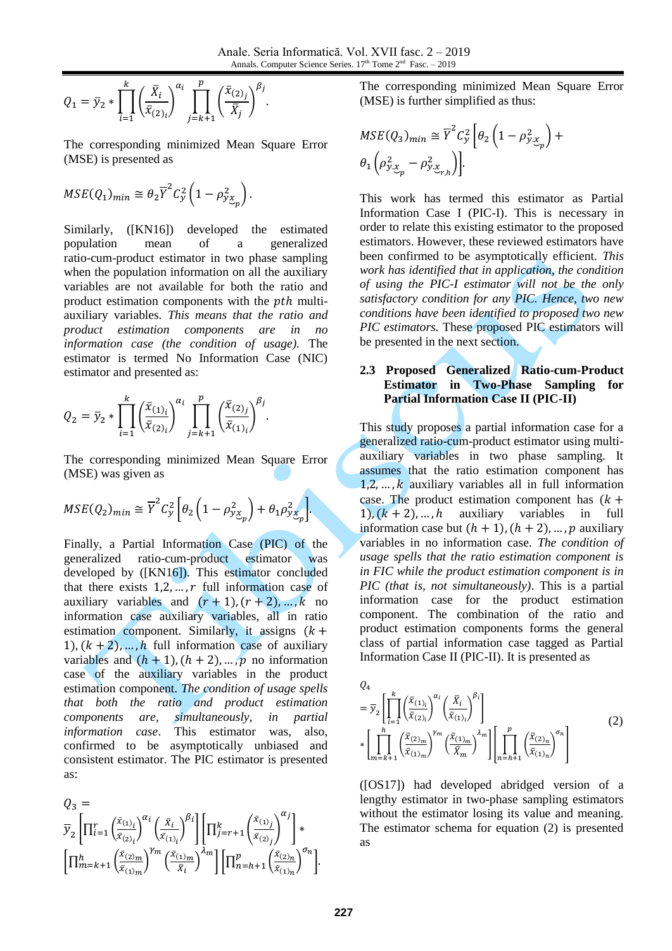$$
Q_1 = \bar{y}_2 * \prod_{i=1}^k \left(\frac{\bar{X}_i}{\bar{x}_{(2)_i}}\right)^{\alpha_i} \prod_{j=k+1}^p \left(\frac{\bar{x}_{(2)_j}}{\bar{X}_j}\right)^{\beta_j}.
$$

The corresponding minimized Mean Square Error (MSE) is presented as

$$
MSE(Q_1)_{min} \cong \theta_2 \overline{Y}^2 C_y^2 \left(1 - \rho_{y_{\mathcal{X}_p}}^2\right).
$$

Similarly, ([KN16]) developed the estimated population mean of a generalized ratio-cum-product estimator in two phase sampling when the population information on all the auxiliary variables are not available for both the ratio and product estimation components with the *pth* multiauxiliary variables. *This means that the ratio and product estimation components are in no information case (the condition of usage).* The estimator is termed No Information Case (NIC) estimator and presented as:

$$
Q_2 = \bar{y}_2 * \prod_{i=1}^k \left( \frac{\bar{x}_{(1)_i}}{\bar{x}_{(2)_i}} \right)^{\alpha_i} \prod_{j=k+1}^p \left( \frac{\bar{x}_{(2)_j}}{\bar{x}_{(1)_i}} \right)^{\beta_j}.
$$

The corresponding minimized Mean Square Error (MSE) was given as

$$
MSE(Q_2)_{min} \cong \overline{Y}^2 C_y^2 \left[ \theta_2 \left( 1 - \rho_{y_{\mathcal{X}_p}}^2 \right) + \theta_1 \rho_{y_{\mathcal{X}_p}}^2 \right].
$$

Finally, a Partial Information Case (PIC) of the generalized ratio-cum-product estimator was developed by ([KN16]). This estimator concluded that there exists  $1,2,...,r$  full information case of auxiliary variables and  $(r + 1)$ ,  $(r + 2)$ , ..., k no information case auxiliary variables, all in ratio estimation component. Similarly, it assigns  $(k +$ 1),  $(k + 2)$ , ..., h full information case of auxiliary variables and  $(h + 1)$ ,  $(h + 2)$ , ..., p no information case of the auxiliary variables in the product estimation component. *The condition of usage spells that both the ratio and product estimation components are, simultaneously, in partial information case*. This estimator was, also, confirmed to be asymptotically unbiased and consistent estimator. The PIC estimator is presented as:

$$
\begin{array}{l} Q_3 = \\ \overline{y}_2\left[\prod_{i=1}^r\left(\frac{\bar{x}_{(1)_i}}{\bar{x}_{(2)_i}}\right)^{\alpha_i}\left(\frac{\bar{x}_i}{\bar{x}_{(1)_i}}\right)^{\beta_i}\right]\left[\prod_{j=r+1}^k\left(\frac{\bar{x}_{(1)_j}}{\bar{x}_{(2)_j}}\right)^{\alpha_j}\right]*\\ \left[\prod_{m=k+1}^h\left(\frac{\bar{x}_{(2)_m}}{\bar{x}_{(1)_m}}\right)^{\gamma_m}\left(\frac{\bar{x}_{(1)_m}}{\bar{x}_i}\right)^{\lambda_m}\right]\left[\prod_{n=h+1}^p\left(\frac{\bar{x}_{(2)_n}}{\bar{x}_{(1)_n}}\right)^{\sigma_n}\right]. \end{array}
$$

The corresponding minimized Mean Square Error (MSE) is further simplified as thus:

$$
MSE(Q_3)_{min} \cong \overline{Y}^2 C_y^2 \left[ \theta_2 \left( 1 - \rho_{y.x_p}^2 \right) + \theta_1 \left( \rho_{y.x_p}^2 - \rho_{y.x_n}^2 \right) \right]
$$

This work has termed this estimator as Partial Information Case I (PIC-I). This is necessary in order to relate this existing estimator to the proposed estimators. However, these reviewed estimators have been confirmed to be asymptotically efficient. *This work has identified that in application, the condition of using the PIC-I estimator will not be the only satisfactory condition for any PIC. Hence, two new conditions have been identified to proposed two new PIC estimators.* These proposed PIC estimators will be presented in the next section.

### **2.3 Proposed Generalized Ratio-cum-Product Estimator in Two-Phase Sampling for Partial Information Case II (PIC-II)**

This study proposes a partial information case for a generalized ratio-cum-product estimator using multiauxiliary variables in two phase sampling. It assumes that the ratio estimation component has  $1,2,\ldots,k$  auxiliary variables all in full information case. The product estimation component has  $(k +$ 1),  $(k + 2)$ , ..., h auxiliary variables in full information case but  $(h + 1)$ ,  $(h + 2)$ , ..., p auxiliary variables in no information case. *The condition of usage spells that the ratio estimation component is in FIC while the product estimation component is in PIC (that is, not simultaneously)*. This is a partial information case for the product estimation component. The combination of the ratio and product estimation components forms the general class of partial information case tagged as Partial Information Case II (PIC-II). It is presented as

$$
Q_{4}
$$
\n
$$
= \overline{y}_{2} \left[ \prod_{i=1}^{k} \left( \frac{\overline{x}_{(1)_{i}}}{\overline{x}_{(2)_{i}}} \right)^{\alpha_{i}} \left( \frac{\overline{x}_{i}}{\overline{x}_{(1)_{i}}} \right)^{\beta_{i}} \right]
$$
\n
$$
* \left[ \prod_{m=k+1}^{h} \left( \frac{\overline{x}_{(2)_{m}}}{\overline{x}_{(1)_{m}}} \right)^{\gamma_{m}} \left( \frac{\overline{x}_{(1)_{m}}}{\overline{x}_{m}} \right)^{\lambda_{m}} \right] \left[ \prod_{n=h+1}^{p} \left( \frac{\overline{x}_{(2)_{n}}}{\overline{x}_{(1)_{n}}} \right)^{\sigma_{n}} \right]
$$
\n
$$
(2)
$$

([OS17]) had developed abridged version of a lengthy estimator in two-phase sampling estimators without the estimator losing its value and meaning. The estimator schema for equation (2) is presented as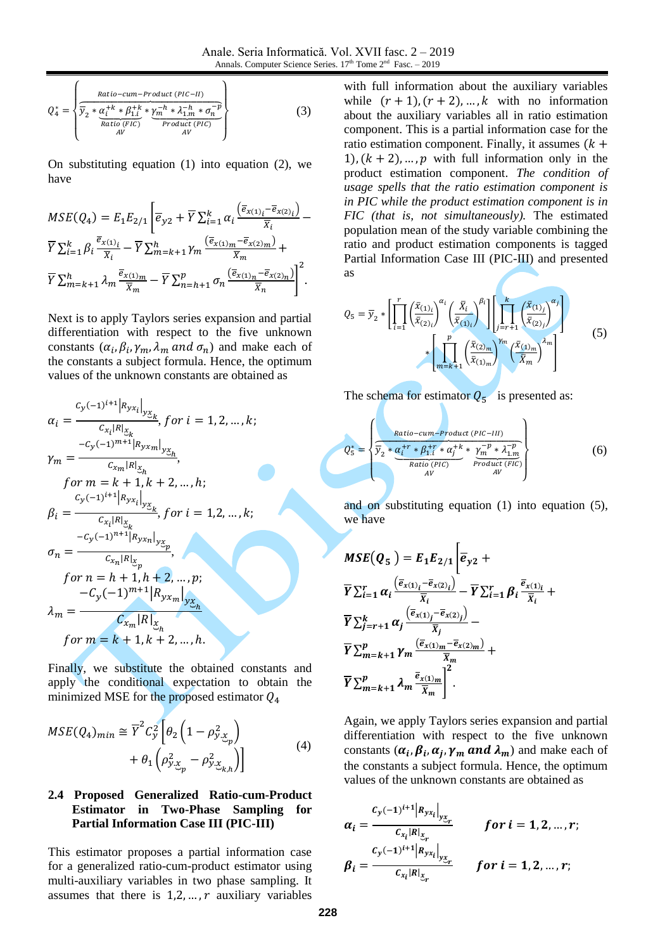$$
Q_4^* = \n\begin{cases}\n\frac{Ratio - cum - Product (PIC - II)}{\n\overline{y}_2 * \underbrace{\alpha_i^{+k} * \beta_{1,i}^{+k} * \underbrace{\gamma_m^{-h} * \lambda_{1,m}^{-h} * \sigma_n^{-p}}_{\text{Product (PIC)}}}\n\end{cases}\n\tag{3}
$$

On substituting equation (1) into equation (2), we have

$$
MSE(Q_4) = E_1 E_{2/1} \left[ \overline{e}_{y2} + \overline{Y} \sum_{i=1}^k \alpha_i \frac{(\overline{e}_{x(1)_i} - \overline{e}_{x(2)_i})}{\overline{X}_i} - \overline{Y} \sum_{i=1}^k \beta_i \frac{\overline{e}_{x(1)_i}}{\overline{X}_i} - \overline{Y} \sum_{m=k+1}^h \gamma_m \frac{(\overline{e}_{x(1)_m} - \overline{e}_{x(2)_m})}{\overline{X}_m} + \overline{Y} \sum_{m=k+1}^h \lambda_m \frac{\overline{e}_{x(1)_m}}{\overline{X}_m} - \overline{Y} \sum_{n=h+1}^p \sigma_n \frac{(\overline{e}_{x(1)_n} - \overline{e}_{x(2)_n})}{\overline{X}_n} \right]^2.
$$

Next is to apply Taylors series expansion and partial differentiation with respect to the five unknown constants  $(\alpha_i, \beta_i, \gamma_m, \lambda_m \text{ and } \sigma_n)$  and make each of the constants a subject formula. Hence, the optimum values of the unknown constants are obtained as

$$
\alpha_{i} = \frac{c_{y}(-1)^{i+1} |R_{yx_{i}}|_{y_{\mathcal{X}_{k}}}}{c_{x_{i}} |R|_{\mathcal{X}_{k}}}, \text{ for } i = 1, 2, ..., k;
$$
\n
$$
\gamma_{m} = \frac{-c_{y}(-1)^{m+1} |R_{yx_{m}}|_{y_{\mathcal{X}_{h}}}}{c_{x_{m}} |R|_{\mathcal{X}_{h}}},
$$
\n
$$
\text{for } m = k+1, k+2, ..., h;
$$
\n
$$
\beta_{i} = \frac{c_{y}(-1)^{i+1} |R_{yx_{i}}|_{y_{\mathcal{X}_{k}}}}{c_{x_{i}} |R|_{\mathcal{X}_{k}}}, \text{ for } i = 1, 2, ..., k;
$$
\n
$$
\sigma_{n} = \frac{-c_{y}(-1)^{n+1} |R_{yx_{n}}|_{y_{\mathcal{X}_{p}}}}{c_{x_{n}} |R|_{\mathcal{X}_{p}}},
$$
\n
$$
\text{for } n = h+1, h+2, ..., p;
$$
\n
$$
\lambda_{m} = \frac{c_{x_{m}} |R|_{\mathcal{X}_{m}}}{c_{x_{m}} |R|_{\mathcal{X}_{h}}},
$$
\n
$$
\text{for } m = k+1, k+2, ..., h.
$$

Finally, we substitute the obtained constants and apply the conditional expectation to obtain the minimized MSE for the proposed estimator  $Q_4$ 

$$
MSE(Q_4)_{min} \cong \overline{Y}^2 C_y^2 \left[ \theta_2 \left( 1 - \rho_{y,\underline{x}_p}^2 \right) + \theta_1 \left( \rho_{y,\underline{x}_p}^2 - \rho_{y,\underline{x}_k}^2 \right) \right]
$$
(4)

#### **2.4 Proposed Generalized Ratio-cum-Product Estimator in Two-Phase Sampling for Partial Information Case III (PIC-III)**

This estimator proposes a partial information case for a generalized ratio-cum-product estimator using multi-auxiliary variables in two phase sampling. It assumes that there is  $1,2,\dots,r$  auxiliary variables

with full information about the auxiliary variables while  $(r + 1)$ ,  $(r + 2)$ , ..., k with no information about the auxiliary variables all in ratio estimation component. This is a partial information case for the ratio estimation component. Finally, it assumes  $(k +$ 1),  $(k + 2)$ , ..., p with full information only in the product estimation component. *The condition of usage spells that the ratio estimation component is in PIC while the product estimation component is in FIC (that is, not simultaneously).* The estimated population mean of the study variable combining the ratio and product estimation components is tagged Partial Information Case III (PIC-III) and presented as

$$
Q_5 = \overline{y}_2 * \left[ \prod_{i=1}^r \left( \frac{\overline{x}_{(1)_i}}{\overline{x}_{(2)_i}} \right)^{\alpha_i} \left( \frac{\overline{X}_i}{\overline{x}_{(1)_i}} \right)^{\beta_i} \right] \left[ \prod_{j=r+1}^k \left( \frac{\overline{x}_{(1)_j}}{\overline{x}_{(2)_j}} \right)^{\alpha_j} \right]
$$
  
\* 
$$
\left[ \prod_{m=k+1}^p \left( \frac{\overline{x}_{(2)_m}}{\overline{x}_{(1)_m}} \right)^{\gamma_m} \left( \frac{\overline{x}_{(1)_m}}{\overline{x}_m} \right)^{\lambda_m} \right]
$$
(5)

The schema for estimator  $Q_5$  is presented as:

$$
Q_5^* = \left\{ \frac{Ratio-cum - Product\left(PIC - III\right)}{\overline{Y}_2 * \underbrace{\alpha_i^{+r} * \beta_{1,i}^{+r} * \alpha_j^{+k}}_{Ratio\left(PIC\right)} * \underbrace{\gamma_m^{-p} * \lambda_{1,m}^{-p}}_{Prouct\left(FIC\right)} \right\}
$$
(6)

and on substituting equation (1) into equation (5), we have

$$
MSE(Q_5) = E_1 E_{2/1} \left| \overline{e}_{y2} + \overline{Y} \sum_{i=1}^r \alpha_i \frac{(\overline{e}_{x(1)_i} - \overline{e}_{x(2)_i})}{\overline{x}_i} - \overline{Y} \sum_{i=1}^r \beta_i \frac{\overline{e}_{x(1)_i}}{\overline{x}_i} + \overline{Y} \sum_{j=r+1}^k \alpha_j \frac{(\overline{e}_{x(1)_j} - \overline{e}_{x(2)_j})}{\overline{x}_j} - \overline{Y} \sum_{m=k+1}^p \gamma_m \frac{(\overline{e}_{x(1)_m} - \overline{e}_{x(2)_m})}{\overline{x}_m} + \overline{Y} \sum_{m=k+1}^p \lambda_m \frac{\overline{e}_{x(1)_m}}{\overline{x}_m} \right|^2.
$$

Again, we apply Taylors series expansion and partial differentiation with respect to the five unknown constants  $(\alpha_i, \beta_i, \alpha_j, \gamma_m \text{ and } \lambda_m)$  and make each of the constants a subject formula. Hence, the optimum values of the unknown constants are obtained as

$$
\alpha_{i} = \frac{c_{y}(-1)^{i+1} |R_{yx_{i}}|_{y_{x}}}{c_{x_{i}} |R|_{x_{r}}}
$$
 for  $i = 1, 2, ..., r$ ;  
\n
$$
\beta_{i} = \frac{c_{y}(-1)^{i+1} |R_{yx_{i}}|_{y_{x}}}{c_{x_{i}} |R|_{x_{r}}}
$$
 for  $i = 1, 2, ..., r$ ;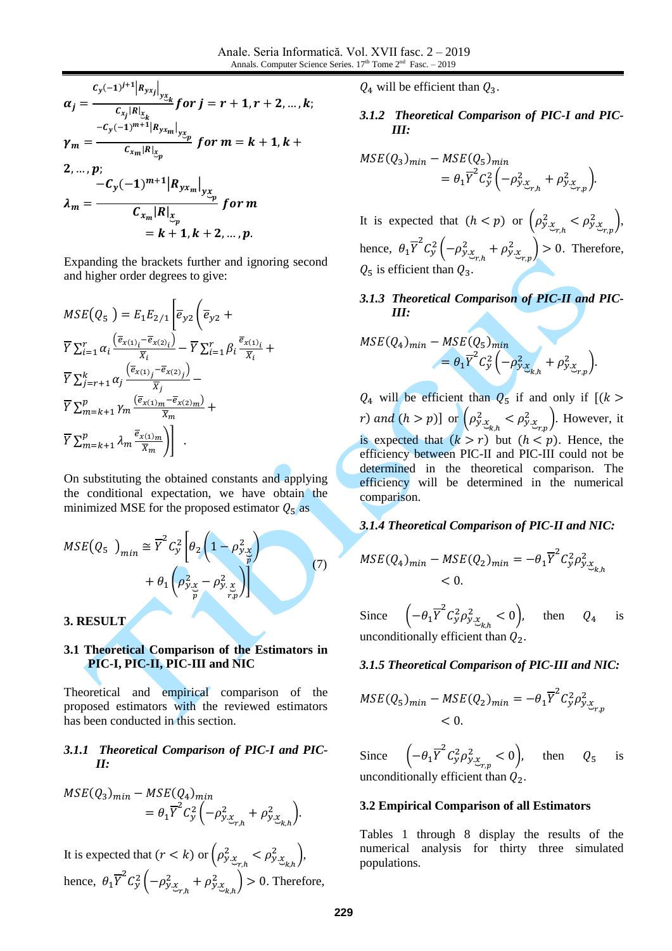$$
\alpha_{j} = \frac{c_{y}(-1)^{j+1} |R_{yx_{j}}|_{y_{x_{k}}}}{c_{x_{j}}|R|_{x_{k}}}} \text{ for } j = r+1, r+2, ..., k;
$$
\n
$$
\gamma_{m} = \frac{-c_{y}(-1)^{m+1} |R_{yx_{m}}|_{y_{x_{m}}}}{c_{x_{m}}|R|_{x_{p}}}} \text{ for } m = k+1, k+2, ..., p;
$$
\n
$$
\lambda_{m} = \frac{-c_{y}(-1)^{m+1} |R_{yx_{m}}|_{y_{x_{m}}}}{c_{x_{m}}|R|_{x_{p}}}\text{ for } m
$$
\n
$$
= k+1, k+2, ..., p.
$$

Expanding the brackets further and ignoring second and higher order degrees to give:

$$
MSE(Q_5) = E_1 E_{2/1} \left[ \overline{e}_{yz} \left( \overline{e}_{yz} + \overline{Y} \sum_{i=1}^r \alpha_i \frac{(\overline{e}_{x(1)_i} - \overline{e}_{x(2)_i})}{\overline{x}_i} - \overline{Y} \sum_{i=1}^r \beta_i \frac{\overline{e}_{x(1)_i}}{\overline{x}_i} + \overline{Y} \sum_{j=r+1}^k \alpha_j \frac{(\overline{e}_{x(1)_j} - \overline{e}_{x(2)_j})}{\overline{x}_j} - \overline{Y} \sum_{m=k+1}^p \gamma_m \frac{(\overline{e}_{x(1)_m} - \overline{e}_{x(2)_m})}{\overline{x}_m} + \overline{Y} \sum_{m=k+1}^p \lambda_m \frac{\overline{e}_{x(1)_m}}{\overline{x}_m} \right]
$$

On substituting the obtained constants and applying the conditional expectation, we have obtain the minimized MSE for the proposed estimator  $Q_5$  as

$$
MSE(Q_5)_{min} \cong \overline{Y}^2 C_y^2 \left[ \theta_2 \left( 1 - \rho_{y, \chi}^2 \over \widetilde{p} \right) + \theta_1 \left( \rho_{y, \chi}^2 - \rho_{y, \chi}^2 \right) \right]
$$
\n
$$
(7)
$$

#### **3. RESULT**

### **3.1 Theoretical Comparison of the Estimators in PIC-I, PIC-II, PIC-III and NIC**

Theoretical and empirical comparison of the proposed estimators with the reviewed estimators has been conducted in this section.

### *3.1.1 Theoretical Comparison of PIC-I and PIC-II:*

$$
MSE(Q_3)_{min} - MSE(Q_4)_{min}
$$
  
=  $\theta_1 \overline{Y}^2 C_y^2 \left( -\rho_{y,\underline{x}_{r,h}}^2 + \rho_{y,\underline{x}_{k,h}}^2 \right).$ 

It is expected that  $(r < k)$  or  $(\rho_{y_{\mathcal{X}_{r,h}}}^2 < \rho_{y_{\mathcal{X}_{k,h}}}^2)$  $\begin{matrix} 2 \\ v.x \end{matrix}$ , hence,  $\theta_1 \overline{Y}^2 C_y^2 \left( -\rho_{y.x_{r,h}}^2 + \rho_{y.x_{k,h}}^2 \right) > 0$ . Therefore,  $Q_4$  will be efficient than  $Q_3$ .

### *3.1.2 Theoretical Comparison of PIC-I and PIC-III:*

$$
MSE(Q_3)_{min} - MSE(Q_5)_{min}
$$
  
=  $\theta_1 \overline{Y}^2 C_y^2 \left( -\rho_{y,\underline{x}_{r,h}}^2 + \rho_{y,\underline{x}_{r,p}}^2 \right).$ 

It is expected that  $(h < p)$  or  $(\rho_{y,x_{n+1}}^2 < \rho_{y,x_{n+1}}^2)$ ,  $r,h$   $\qquad \neg r,p$ hence,  $\theta_1 \overline{Y}^2 C_y^2 \left( -\rho_{y.x_{r,h}}^2 + \rho_{y.x_{r,p}}^2 \right) > 0$ . Therefore,  $Q_5$  is efficient than  $Q_3$ .

*3.1.3 Theoretical Comparison of PIC-II and PIC-III:*

$$
MSE(Q_4)_{min} - MSE(Q_5)_{min}
$$
  
=  $\theta_1 \overline{Y}^2 C_y^2 \left(-\rho_{y,\underline{y}_{k,h}}^2 + \rho_{y,\underline{y}_{r,p}}^2\right).$ 

 $Q_4$  will be efficient than  $Q_5$  if and only if  $[(k >$ *r*) and  $(h > p)$ ] or  $(\rho_{y.x_{k,h}}^2 < \rho_{y.x_{r,p}}^2)$ . However, it is expected that  $(k > r)$  but  $(h < p)$ . Hence, the efficiency between PIC-II and PIC-III could not be determined in the theoretical comparison. The efficiency will be determined in the numerical comparison.

#### *3.1.4 Theoretical Comparison of PIC-II and NIC:*

$$
MSE(Q_4)_{min} - MSE(Q_2)_{min} = -\theta_1 \overline{Y}^2 C_y^2 \rho_{y.x_{k,h}}^2
$$
  
< 0.

Since  $\left(-\theta_1 \overline{Y}^2 C_y^2 \rho_{y.x_{k,h}}^2 < 0\right)$ , then  $Q_4$  is unconditionally efficient than  $Q_2$ .

#### *3.1.5 Theoretical Comparison of PIC-III and NIC:*

$$
MSE(Q_5)_{min} - MSE(Q_2)_{min} = -\theta_1 \overline{Y}^2 C_y^2 \rho_{y,\mathcal{X}_{r,p}}^2
$$
  
< 0.

Since  $\left(-\theta_1 \overline{Y}^2 C_y^2 \rho_{y.x_{r,p}}^2 < 0\right)$ , then  $Q_5$  is unconditionally efficient than  $Q_2$ .

#### **3.2 Empirical Comparison of all Estimators**

Tables 1 through 8 display the results of the numerical analysis for thirty three simulated populations.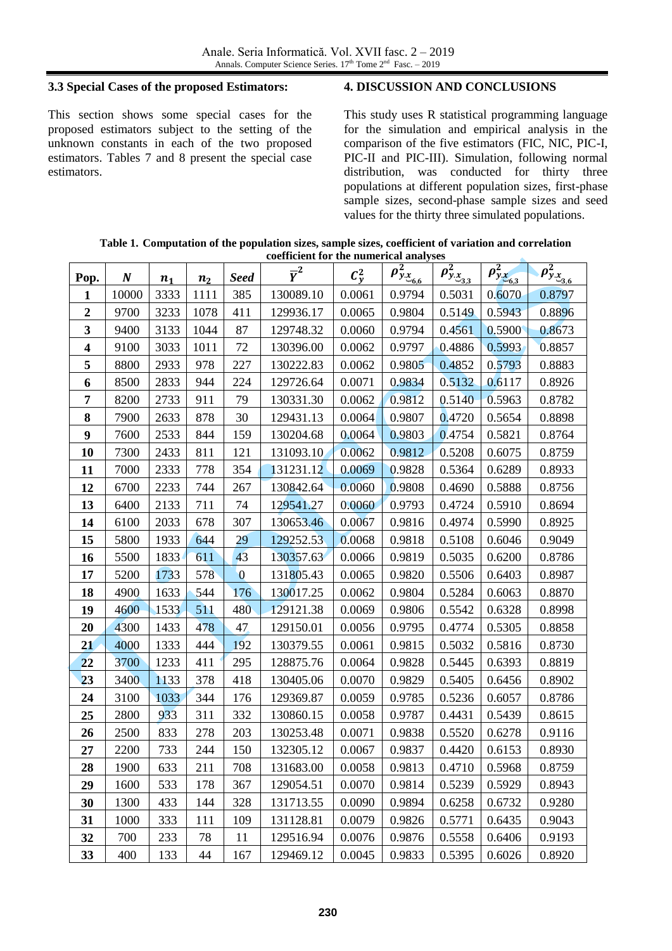### **3.3 Special Cases of the proposed Estimators:**

This section shows some special cases for the proposed estimators subject to the setting of the unknown constants in each of the two proposed estimators. Tables 7 and 8 present the special case estimators.

### **4. DISCUSSION AND CONCLUSIONS**

This study uses R statistical programming language for the simulation and empirical analysis in the comparison of the five estimators (FIC, NIC, PIC-I, PIC-II and PIC-III). Simulation, following normal distribution, was conducted for thirty three populations at different population sizes, first-phase sample sizes, second-phase sample sizes and seed values for the thirty three simulated populations.

| Table 1. Computation of the population sizes, sample sizes, coefficient of variation and correlation |  |
|------------------------------------------------------------------------------------------------------|--|
| coefficient for the numerical analyses                                                               |  |

| Pop.                    | N     | $n_1$ | n <sub>2</sub> | <b>Seed</b> | $\overline{Y}^2$ | $\mathcal{C}^2_{y}$ | $\rho_{y_{x_{6,6}}}^2$ | $\rho_{y_{.X_{3,3}}}^2$ | $\rho_{y.x_{6,3}}^2$ | $\rho_{y_{.X_{3,6}}}^2$ |
|-------------------------|-------|-------|----------------|-------------|------------------|---------------------|------------------------|-------------------------|----------------------|-------------------------|
| 1                       | 10000 | 3333  | 1111           | 385         | 130089.10        | 0.0061              | 0.9794                 | 0.5031                  | 0.6070               | 0.8797                  |
| $\boldsymbol{2}$        | 9700  | 3233  | 1078           | 411         | 129936.17        | 0.0065              | 0.9804                 | 0.5149                  | 0.5943               | 0.8896                  |
| 3                       | 9400  | 3133  | 1044           | 87          | 129748.32        | 0.0060              | 0.9794                 | 0.4561                  | 0.5900               | 0.8673                  |
| $\overline{\mathbf{4}}$ | 9100  | 3033  | 1011           | 72          | 130396.00        | 0.0062              | 0.9797                 | 0.4886                  | 0.5993               | 0.8857                  |
| 5                       | 8800  | 2933  | 978            | 227         | 130222.83        | 0.0062              | 0.9805                 | 0.4852                  | 0.5793               | 0.8883                  |
| 6                       | 8500  | 2833  | 944            | 224         | 129726.64        | 0.0071              | 0.9834                 | 0.5132                  | 0.6117               | 0.8926                  |
| 7                       | 8200  | 2733  | 911            | 79          | 130331.30        | 0.0062              | 0.9812                 | 0.5140                  | 0.5963               | 0.8782                  |
| 8                       | 7900  | 2633  | 878            | 30          | 129431.13        | 0.0064              | 0.9807                 | 0.4720                  | 0.5654               | 0.8898                  |
| 9                       | 7600  | 2533  | 844            | 159         | 130204.68        | 0.0064              | 0.9803                 | 0.4754                  | 0.5821               | 0.8764                  |
| 10                      | 7300  | 2433  | 811            | 121         | 131093.10        | 0.0062              | 0.9812                 | 0.5208                  | 0.6075               | 0.8759                  |
| 11                      | 7000  | 2333  | 778            | 354         | 131231.12        | 0.0069              | 0.9828                 | 0.5364                  | 0.6289               | 0.8933                  |
| 12                      | 6700  | 2233  | 744            | 267         | 130842.64        | 0.0060              | 0.9808                 | 0.4690                  | 0.5888               | 0.8756                  |
| 13                      | 6400  | 2133  | 711            | 74          | 129541.27        | 0.0060              | 0.9793                 | 0.4724                  | 0.5910               | 0.8694                  |
| 14                      | 6100  | 2033  | 678            | 307         | 130653.46        | 0.0067              | 0.9816                 | 0.4974                  | 0.5990               | 0.8925                  |
| 15                      | 5800  | 1933  | 644            | 29          | 129252.53        | 0.0068              | 0.9818                 | 0.5108                  | 0.6046               | 0.9049                  |
| 16                      | 5500  | 1833  | 611            | 43          | 130357.63        | 0.0066              | 0.9819                 | 0.5035                  | 0.6200               | 0.8786                  |
| 17                      | 5200  | 1733  | 578            | $\bf{0}$    | 131805.43        | 0.0065              | 0.9820                 | 0.5506                  | 0.6403               | 0.8987                  |
| 18                      | 4900  | 1633  | 544            | 176         | 130017.25        | 0.0062              | 0.9804                 | 0.5284                  | 0.6063               | 0.8870                  |
| 19                      | 4600  | 1533  | 511            | 480         | 129121.38        | 0.0069              | 0.9806                 | 0.5542                  | 0.6328               | 0.8998                  |
| 20                      | 4300  | 1433  | 478            | 47          | 129150.01        | 0.0056              | 0.9795                 | 0.4774                  | 0.5305               | 0.8858                  |
| 21                      | 4000  | 1333  | 444            | 192         | 130379.55        | 0.0061              | 0.9815                 | 0.5032                  | 0.5816               | 0.8730                  |
| 22                      | 3700  | 1233  | 411            | 295         | 128875.76        | 0.0064              | 0.9828                 | 0.5445                  | 0.6393               | 0.8819                  |
| 23                      | 3400  | 1133  | 378            | 418         | 130405.06        | 0.0070              | 0.9829                 | 0.5405                  | 0.6456               | 0.8902                  |
| 24                      | 3100  | 1033  | 344            | 176         | 129369.87        | 0.0059              | 0.9785                 | 0.5236                  | 0.6057               | 0.8786                  |
| 25                      | 2800  | 933   | 311            | 332         | 130860.15        | 0.0058              | 0.9787                 | 0.4431                  | 0.5439               | 0.8615                  |
| 26                      | 2500  | 833   | 278            | 203         | 130253.48        | 0.0071              | 0.9838                 | 0.5520                  | 0.6278               | 0.9116                  |
| 27                      | 2200  | 733   | 244            | 150         | 132305.12        | 0.0067              | 0.9837                 | 0.4420                  | 0.6153               | 0.8930                  |
| 28                      | 1900  | 633   | 211            | 708         | 131683.00        | 0.0058              | 0.9813                 | 0.4710                  | 0.5968               | 0.8759                  |
| 29                      | 1600  | 533   | 178            | 367         | 129054.51        | 0.0070              | 0.9814                 | 0.5239                  | 0.5929               | 0.8943                  |
| 30                      | 1300  | 433   | 144            | 328         | 131713.55        | 0.0090              | 0.9894                 | 0.6258                  | 0.6732               | 0.9280                  |
| 31                      | 1000  | 333   | 111            | 109         | 131128.81        | 0.0079              | 0.9826                 | 0.5771                  | 0.6435               | 0.9043                  |
| 32                      | 700   | 233   | 78             | 11          | 129516.94        | 0.0076              | 0.9876                 | 0.5558                  | 0.6406               | 0.9193                  |
| 33                      | 400   | 133   | 44             | 167         | 129469.12        | 0.0045              | 0.9833                 | 0.5395                  | 0.6026               | 0.8920                  |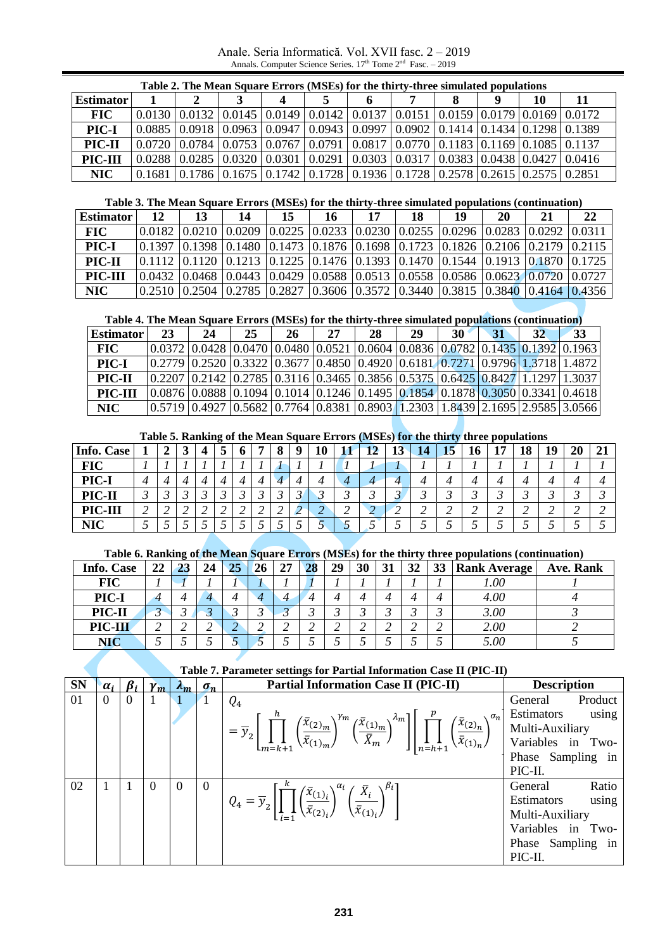Anale. Seria Informatică. Vol. XVII fasc. 2 – 2019 Annals. Computer Science Series. 17<sup>th</sup> Tome 2<sup>nd</sup> Fasc. – 2019

|                  |          |        | Table 2. The Mean Square Errors (MSEs) for the thirty-three simulated populations                                                |                                                                                  |   |  |   |    |    |
|------------------|----------|--------|----------------------------------------------------------------------------------------------------------------------------------|----------------------------------------------------------------------------------|---|--|---|----|----|
| <b>Estimator</b> |          |        |                                                                                                                                  |                                                                                  | 6 |  | Ф | 10 | 11 |
| <b>FIC</b>       |          |        | $0.0130 \mid 0.0132 \mid 0.0145 \mid 0.0149 \mid 0.0142 \mid 0.0137 \mid 0.0151 \mid 0.0159 \mid 0.0179 \mid 0.0169 \mid 0.0172$ |                                                                                  |   |  |   |    |    |
| PIC-I            | $0.0885$ | 0.0918 |                                                                                                                                  | $0.0963$   0.0947   0.0943   0.0997   0.0902   0.1414   0.1434   0.1298   0.1389 |   |  |   |    |    |
| PIC-II           |          |        | $0.0720$   0.0784   0.0753   0.0767   0.0791   0.0817   0.0770   0.1183   0.1169   0.1085   0.1137                               |                                                                                  |   |  |   |    |    |
| PIC-III          | 0.0288   | 0.0285 |                                                                                                                                  | $0.0320$   0.0301   0.0291   0.0303   0.0317   0.0383   0.0438   0.0427   0.0416 |   |  |   |    |    |
| <b>NIC</b>       | 0.1681   |        | $(0.1786 \mid 0.1675 \mid 0.1742 \mid 0.1728 \mid 0.1936 \mid 0.1728 \mid 0.2578 \mid 0.2615 \mid 0.2575 \mid 0.2851$            |                                                                                  |   |  |   |    |    |

#### **Table 3. The Mean Square Errors (MSEs) for the thirty-three simulated populations (continuation)**

| <b>Estimator</b> | 12                                                                                                                                | 14 | 16 | 18                                                                                       | 19 | 20 | 21 | 22 |
|------------------|-----------------------------------------------------------------------------------------------------------------------------------|----|----|------------------------------------------------------------------------------------------|----|----|----|----|
| FIC-             |                                                                                                                                   |    |    | 0.0210  0.0209  0.0225  0.0233  0.0230  0.0255  0.0296  0.0283  0.0292  0.0311           |    |    |    |    |
| PIC-I            | 0.1397   0.1398   0.1480   0.1473   0.1876   0.1698   0.1723   0.1826   0.2106   0.2179   0.2115                                  |    |    |                                                                                          |    |    |    |    |
| PIC-II           | 0.1112 0.1120 0.1213 0.1225 0.1476 0.1393 0.1470 0.1544 0.1913 0.1870 0.1725                                                      |    |    |                                                                                          |    |    |    |    |
| PIC-III          |                                                                                                                                   |    |    | $0.0432$  0.0468  0.0443  0.0429  0.0588  0.0513  0.0558  0.0586  0.0623  0.0720  0.0727 |    |    |    |    |
| NIC              | $(0.2510 \mid 0.2504 \mid 0.2785 \mid 0.2827 \mid 0.3606 \mid 0.3572 \mid 0.3440 \mid 0.3815 \mid 0.3840 \mid 0.4164 \mid 0.4356$ |    |    |                                                                                          |    |    |    |    |

#### **Table 4. The Mean Square Errors (MSEs) for the thirty-three simulated populations (continuation)**

| <b>Estimator</b> | 23 | 24 | 25 | 26                                                                                                                                | 27 | 28 | 29 | 30 | 31 | 32. | 33 |
|------------------|----|----|----|-----------------------------------------------------------------------------------------------------------------------------------|----|----|----|----|----|-----|----|
| FIC-             |    |    |    | $(0.0372)$ $(0.0428)$ $(0.0470)$ $(0.0480)$ $(0.0521)$ $(0.0604)$ $(0.0836)$ $(0.0782)$ $(0.1435)$ $(0.1392)$ $(0.1963)$          |    |    |    |    |    |     |    |
| PIC-I            |    |    |    | 0.2779  0.2520  0.3322  0.3677  0.4850  0.4920  0.6181  0.7271  0.9796  1.3718   1.4872                                           |    |    |    |    |    |     |    |
| PIC-II           |    |    |    | 0.2207  0.2142  0.2785  0.3116  0.3465  0.3856  0.5375  0.6425  0.8427   1.1297   1.3037                                          |    |    |    |    |    |     |    |
| PIC-III          |    |    |    | $(0.0876 \mid 0.0888 \mid 0.1094 \mid 0.1014 \mid 0.1246 \mid 0.1495 \mid 0.1854 \mid 0.1878 \mid 0.3050 \mid 0.3341 \mid 0.4618$ |    |    |    |    |    |     |    |
| NIC              |    |    |    | $(0.5719)0.4927(0.5682)0.7764(0.8381)0.8903(1.2303)1.8439(2.1695)2.9585(3.0566)$                                                  |    |    |    |    |    |     |    |

#### **Table 5. Ranking of the Mean Square Errors (MSEs) for the thirty three populations**

| <b>Info. Case</b> |             |  | $-$ |   |   | TO |   | ┸ | 19 | 14 | 15 | 10 | -- | 18 | 19 | 20 |  |
|-------------------|-------------|--|-----|---|---|----|---|---|----|----|----|----|----|----|----|----|--|
| <b>FIC</b>        |             |  |     |   |   |    |   |   |    |    |    |    |    |    |    |    |  |
| PIC-I             | 4           |  |     |   |   |    |   |   |    |    |    |    |    |    |    |    |  |
| PIC-II            |             |  |     |   |   |    |   |   |    |    |    |    |    |    |    |    |  |
| PIC-III           | $\sim$<br>∼ |  |     | ∸ | ∼ | ∼  | ∽ | ∼ | ∼  | ∼  | ↵  | ∸  | ∼  | ↵  |    |    |  |
| NIC               |             |  |     |   |   |    |   |   |    |    |    |    |    |    |    |    |  |

### **Table 6. Ranking of the Mean Square Errors (MSEs) for the thirty three populations (continuation)**

| <b>Info. Case</b> | 22 | $\bullet$<br>23 | 24 | 25 | 26 | 27 | 28 | 29 | 30 | 31 | 32 | 33 | <b>Rank Average</b> | Ave. Rank |
|-------------------|----|-----------------|----|----|----|----|----|----|----|----|----|----|---------------------|-----------|
| <b>FIC</b>        |    |                 |    |    |    |    |    |    |    |    |    |    | 1.00                |           |
| PIC-I             |    |                 |    | 4  |    |    |    |    |    |    |    | 4  | 4.00                |           |
| PIC-II            |    |                 |    |    |    |    |    |    |    |    |    |    | 3.00                |           |
| PIC-III           |    |                 |    |    |    |    |    |    | ↩  |    |    | ∠  | 2.00                |           |
| <b>NIC</b>        |    |                 |    | ັ  |    |    |    |    |    |    |    |    | 5.00                |           |

#### **Table 7. Parameter settings for Partial Information Case II (PIC-II)**

| <b>SN</b> | $\alpha_i$     |                | $\gamma_m$ | $\lambda_m$ | $\sigma_n$   | <b>Partial Information Case II (PIC-II)</b>                                                                                                                                                                                                                                                        | <b>Description</b>  |
|-----------|----------------|----------------|------------|-------------|--------------|----------------------------------------------------------------------------------------------------------------------------------------------------------------------------------------------------------------------------------------------------------------------------------------------------|---------------------|
| 01        | $\overline{0}$ | $\overline{0}$ |            |             |              | $Q_4$                                                                                                                                                                                                                                                                                              | Product<br>General  |
|           |                |                |            |             |              |                                                                                                                                                                                                                                                                                                    | Estimators<br>using |
|           |                |                |            |             |              | $= \overline{y}_2\left[\prod_{m=k+1}^h\left(\frac{\bar{x}_{(2)_m}}{\bar{x}_{(1)_m}}\right)^{\gamma_m}\left(\frac{\bar{x}_{(1)_m}}{\bar{x}_m}\right)^{\lambda_m}\right]\left[\prod_{n=h+1}^p\left(\frac{\bar{x}_{(2)_n}}{\bar{x}_{(1)_n}}\right)^{\sigma_n}\right]$                                 | Multi-Auxiliary     |
|           |                |                |            |             |              |                                                                                                                                                                                                                                                                                                    | Variables in Two-   |
|           |                |                |            |             |              |                                                                                                                                                                                                                                                                                                    | Phase Sampling in   |
|           |                |                |            |             |              |                                                                                                                                                                                                                                                                                                    | PIC-II.             |
| 02        |                |                | $\Omega$   | $\Omega$    | $\mathbf{0}$ | $\left  \right. \mathit{Q}_{4} = \overline{\mathit{y}}_{2} \left[ \prod\limits_{i=1}^{k} \left( \frac{\overline{\mathit{x}}_{(1)_{i}}}{\overline{\mathit{x}}_{(2)_{i}}} \right)^{\alpha_{i}} \left( \frac{\overline{\mathit{x}}_{i}}{\overline{\mathit{x}}_{(1)_{i}}} \right)^{\beta_{i}} \right]$ | Ratio<br>General    |
|           |                |                |            |             |              |                                                                                                                                                                                                                                                                                                    | using<br>Estimators |
|           |                |                |            |             |              |                                                                                                                                                                                                                                                                                                    | Multi-Auxiliary     |
|           |                |                |            |             |              |                                                                                                                                                                                                                                                                                                    | Variables in Two-   |
|           |                |                |            |             |              |                                                                                                                                                                                                                                                                                                    | Phase Sampling in   |
|           |                |                |            |             |              |                                                                                                                                                                                                                                                                                                    | PIC-II.             |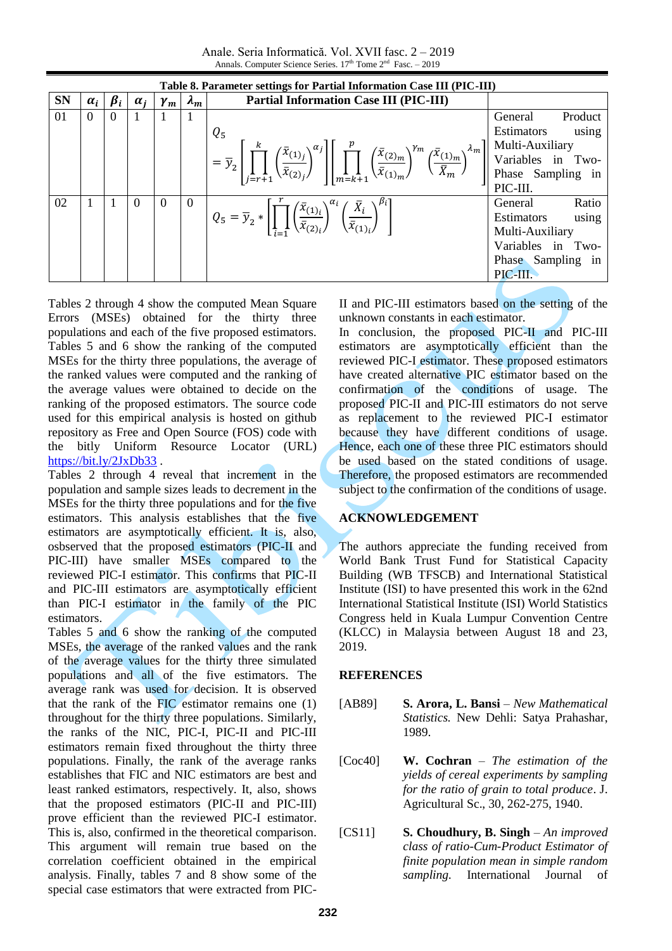Anale. Seria Informatică. Vol. XVII fasc. 2 – 2019 Annals. Computer Science Series. 17<sup>th</sup> Tome 2<sup>nd</sup> Fasc. - 2019

|           |            |                |            |            |                | Table 8. Parameter settings for Partial Information Case III (PIC-III)                                                                                                                                                                                                                                                                                                     |                     |
|-----------|------------|----------------|------------|------------|----------------|----------------------------------------------------------------------------------------------------------------------------------------------------------------------------------------------------------------------------------------------------------------------------------------------------------------------------------------------------------------------------|---------------------|
| <b>SN</b> | $\alpha_i$ | $\beta_i$      | $\alpha_i$ | $\gamma_m$ | $\lambda_m$    | <b>Partial Information Case III (PIC-III)</b>                                                                                                                                                                                                                                                                                                                              |                     |
| 01        | $\Omega$   | $\overline{0}$ |            |            |                |                                                                                                                                                                                                                                                                                                                                                                            | Product<br>General  |
|           |            |                |            |            |                | $Q_5$                                                                                                                                                                                                                                                                                                                                                                      | Estimators<br>using |
|           |            |                |            |            |                |                                                                                                                                                                                                                                                                                                                                                                            |                     |
|           |            |                |            |            |                | $\left  \frac{1}{2} = \overline{y}_2 \left[ \prod_{j=r+1}^k \left( \frac{\overline{x}_{(1)j}}{\overline{x}_{(2)j}} \right)^{\alpha_j} \right] \left[ \prod_{m=k+1}^p \left( \frac{\overline{x}_{(2)m}}{\overline{x}_{(1)m}} \right)^{\gamma_m} \left( \frac{\overline{x}_{(1)m}}{\overline{x}_m} \right)^{\lambda_m} \right] \right]$ Multi-Auxiliary<br>Variables in Two- |                     |
|           |            |                |            |            |                |                                                                                                                                                                                                                                                                                                                                                                            |                     |
|           |            |                |            |            |                |                                                                                                                                                                                                                                                                                                                                                                            | PIC-III.            |
| 02        |            |                | $\Omega$   | $\Omega$   | $\overline{0}$ |                                                                                                                                                                                                                                                                                                                                                                            | Ratio<br>General    |
|           |            |                |            |            |                | $Q_5 = \overline{y}_2 * \left[ \prod_{i=1}^r \left( \frac{\overline{x}_{(1)i}}{\overline{x}_{(2)i}} \right)^{\alpha_i} \left( \frac{\overline{x}_i}{\overline{x}_{(1)i}} \right)^{\beta_i} \right]$                                                                                                                                                                        | Estimators<br>using |
|           |            |                |            |            |                |                                                                                                                                                                                                                                                                                                                                                                            | Multi-Auxiliary     |
|           |            |                |            |            |                |                                                                                                                                                                                                                                                                                                                                                                            | Variables in Two-   |
|           |            |                |            |            |                |                                                                                                                                                                                                                                                                                                                                                                            | Phase Sampling in   |
|           |            |                |            |            |                |                                                                                                                                                                                                                                                                                                                                                                            | PIC-III.            |

Tables 2 through 4 show the computed Mean Square Errors (MSEs) obtained for the thirty three populations and each of the five proposed estimators. Tables 5 and 6 show the ranking of the computed MSEs for the thirty three populations, the average of the ranked values were computed and the ranking of the average values were obtained to decide on the ranking of the proposed estimators. The source code used for this empirical analysis is hosted on github repository as Free and Open Source (FOS) code with the bitly Uniform Resource Locator (URL) <https://bit.ly/2JxDb33> .

Tables 2 through 4 reveal that increment in the population and sample sizes leads to decrement in the MSEs for the thirty three populations and for the five estimators. This analysis establishes that the five estimators are asymptotically efficient. It is, also, osbserved that the proposed estimators (PIC-II and PIC-III) have smaller MSEs compared to the reviewed PIC-I estimator. This confirms that PIC-II and PIC-III estimators are asymptotically efficient than PIC-I estimator in the family of the PIC estimators.

Tables 5 and 6 show the ranking of the computed MSEs, the average of the ranked values and the rank of the average values for the thirty three simulated populations and all of the five estimators. The average rank was used for decision. It is observed that the rank of the FIC estimator remains one (1) throughout for the thirty three populations. Similarly, the ranks of the NIC, PIC-I, PIC-II and PIC-III estimators remain fixed throughout the thirty three populations. Finally, the rank of the average ranks establishes that FIC and NIC estimators are best and least ranked estimators, respectively. It, also, shows that the proposed estimators (PIC-II and PIC-III) prove efficient than the reviewed PIC-I estimator. This is, also, confirmed in the theoretical comparison. This argument will remain true based on the correlation coefficient obtained in the empirical analysis. Finally, tables 7 and 8 show some of the special case estimators that were extracted from PIC-

II and PIC-III estimators based on the setting of the unknown constants in each estimator.

In conclusion, the proposed PIC-II and PIC-III estimators are asymptotically efficient than the reviewed PIC-I estimator. These proposed estimators have created alternative PIC estimator based on the confirmation of the conditions of usage. The proposed PIC-II and PIC-III estimators do not serve as replacement to the reviewed PIC-I estimator because they have different conditions of usage. Hence, each one of these three PIC estimators should be used based on the stated conditions of usage. Therefore, the proposed estimators are recommended subject to the confirmation of the conditions of usage.

### **ACKNOWLEDGEMENT**

The authors appreciate the funding received from World Bank Trust Fund for Statistical Capacity Building (WB TFSCB) and International Statistical Institute (ISI) to have presented this work in the 62nd International Statistical Institute (ISI) World Statistics Congress held in Kuala Lumpur Convention Centre (KLCC) in Malaysia between August 18 and 23, 2019.

## **REFERENCES**

- [AB89] **S. Arora, L. Bansi** *New Mathematical Statistics.* New Dehli: Satya Prahashar, 1989.
- [Coc40] **W. Cochran**  *The estimation of the yields of cereal experiments by sampling for the ratio of grain to total produce*. J. Agricultural Sc., 30, 262-275, 1940.
- [CS11] **S. Choudhury, B. Singh** *An improved class of ratio-Cum-Product Estimator of finite population mean in simple random sampling.* International Journal of